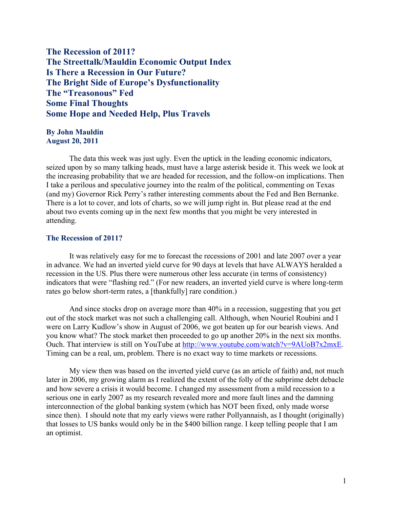**The Recession of 2011? The Streettalk/Mauldin Economic Output Index Is There a Recession in Our Future? The Bright Side of Europe's Dysfunctionality The "Treasonous" Fed Some Final Thoughts Some Hope and Needed Help, Plus Travels**

## **By John Mauldin August 20, 2011**

The data this week was just ugly. Even the uptick in the leading economic indicators, seized upon by so many talking heads, must have a large asterisk beside it. This week we look at the increasing probability that we are headed for recession, and the follow-on implications. Then I take a perilous and speculative journey into the realm of the political, commenting on Texas (and my) Governor Rick Perry's rather interesting comments about the Fed and Ben Bernanke. There is a lot to cover, and lots of charts, so we will jump right in. But please read at the end about two events coming up in the next few months that you might be very interested in attending.

# **The Recession of 2011?**

It was relatively easy for me to forecast the recessions of 2001 and late 2007 over a year in advance. We had an inverted yield curve for 90 days at levels that have ALWAYS heralded a recession in the US. Plus there were numerous other less accurate (in terms of consistency) indicators that were "flashing red." (For new readers, an inverted yield curve is where long-term rates go below short-term rates, a [thankfully] rare condition.)

And since stocks drop on average more than 40% in a recession, suggesting that you get out of the stock market was not such a challenging call. Although, when Nouriel Roubini and I were on Larry Kudlow's show in August of 2006, we got beaten up for our bearish views. And you know what? The stock market then proceeded to go up another 20% in the next six months. Ouch. That interview is still on YouTube at http://www.youtube.com/watch?v=9AUoB7x2mxE. Timing can be a real, um, problem. There is no exact way to time markets or recessions.

My view then was based on the inverted yield curve (as an article of faith) and, not much later in 2006, my growing alarm as I realized the extent of the folly of the subprime debt debacle and how severe a crisis it would become. I changed my assessment from a mild recession to a serious one in early 2007 as my research revealed more and more fault lines and the damning interconnection of the global banking system (which has NOT been fixed, only made worse since then). I should note that my early views were rather Pollyannaish, as I thought (originally) that losses to US banks would only be in the \$400 billion range. I keep telling people that I am an optimist.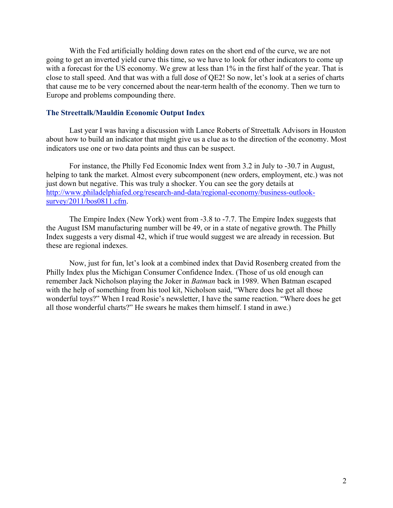With the Fed artificially holding down rates on the short end of the curve, we are not going to get an inverted yield curve this time, so we have to look for other indicators to come up with a forecast for the US economy. We grew at less than  $1\%$  in the first half of the year. That is close to stall speed. And that was with a full dose of QE2! So now, let's look at a series of charts that cause me to be very concerned about the near-term health of the economy. Then we turn to Europe and problems compounding there.

# **The Streettalk/Mauldin Economic Output Index**

Last year I was having a discussion with Lance Roberts of Streettalk Advisors in Houston about how to build an indicator that might give us a clue as to the direction of the economy. Most indicators use one or two data points and thus can be suspect.

For instance, the Philly Fed Economic Index went from 3.2 in July to -30.7 in August, helping to tank the market. Almost every subcomponent (new orders, employment, etc.) was not just down but negative. This was truly a shocker. You can see the gory details at http://www.philadelphiafed.org/research-and-data/regional-economy/business-outlooksurvey/2011/bos0811.cfm.

The Empire Index (New York) went from -3.8 to -7.7. The Empire Index suggests that the August ISM manufacturing number will be 49, or in a state of negative growth. The Philly Index suggests a very dismal 42, which if true would suggest we are already in recession. But these are regional indexes.

Now, just for fun, let's look at a combined index that David Rosenberg created from the Philly Index plus the Michigan Consumer Confidence Index. (Those of us old enough can remember Jack Nicholson playing the Joker in *Batman* back in 1989. When Batman escaped with the help of something from his tool kit, Nicholson said, "Where does he get all those wonderful toys?" When I read Rosie's newsletter, I have the same reaction. "Where does he get all those wonderful charts?" He swears he makes them himself. I stand in awe.)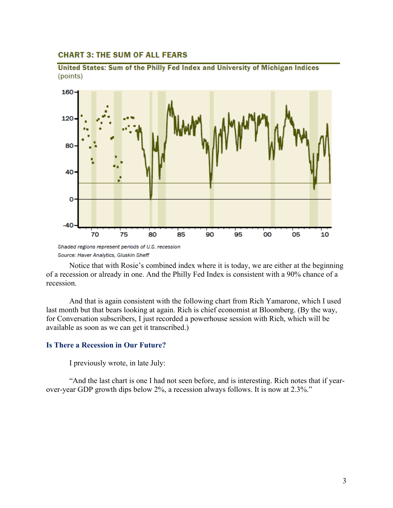## **CHART 3: THE SUM OF ALL FEARS**





Notice that with Rosie's combined index where it is today, we are either at the beginning of a recession or already in one. And the Philly Fed Index is consistent with a 90% chance of a recession.

And that is again consistent with the following chart from Rich Yamarone, which I used last month but that bears looking at again. Rich is chief economist at Bloomberg. (By the way, for Conversation subscribers, I just recorded a powerhouse session with Rich, which will be available as soon as we can get it transcribed.)

#### **Is There a Recession in Our Future?**

I previously wrote, in late July:

"And the last chart is one I had not seen before, and is interesting. Rich notes that if yearover-year GDP growth dips below 2%, a recession always follows. It is now at 2.3%."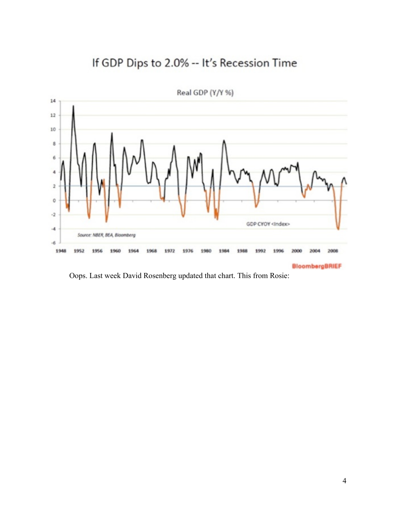# If GDP Dips to 2.0% -- It's Recession Time



Real GDP (Y/Y %)

**BloombergBRIEF** 

Oops. Last week David Rosenberg updated that chart. This from Rosie: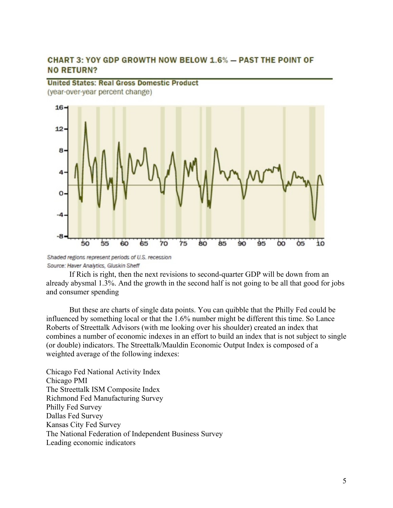# **CHART 3: YOY GDP GROWTH NOW BELOW 1.6% - PAST THE POINT OF NO RETURN?**

**United States: Real Gross Domestic Product** (year-over-year percent change)  $16.$  $12$ 8 -4 -8

Shaded regions represent periods of U.S. recession Source: Haver Analytics, Gluskin Sheff

60

65

70

 $75$ 

55

 $50$ 

If Rich is right, then the next revisions to second-quarter GDP will be down from an already abysmal 1.3%. And the growth in the second half is not going to be all that good for jobs and consumer spending

 $80$ 

85

 $90$ 

95

**bo** 

 $\overline{05}$ 

io

But these are charts of single data points. You can quibble that the Philly Fed could be influenced by something local or that the 1.6% number might be different this time. So Lance Roberts of Streettalk Advisors (with me looking over his shoulder) created an index that combines a number of economic indexes in an effort to build an index that is not subject to single (or double) indicators. The Streettalk/Mauldin Economic Output Index is composed of a weighted average of the following indexes:

Chicago Fed National Activity Index Chicago PMI The Streettalk ISM Composite Index Richmond Fed Manufacturing Survey Philly Fed Survey Dallas Fed Survey Kansas City Fed Survey The National Federation of Independent Business Survey Leading economic indicators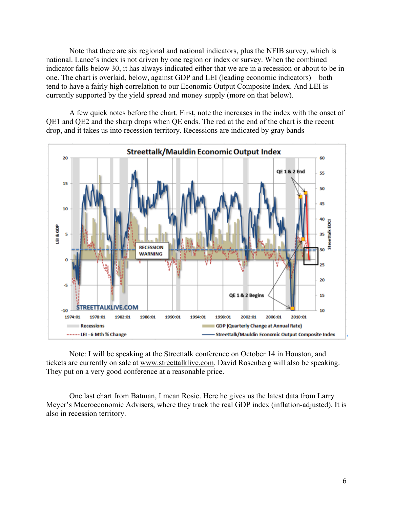Note that there are six regional and national indicators, plus the NFIB survey, which is national. Lance's index is not driven by one region or index or survey. When the combined indicator falls below 30, it has always indicated either that we are in a recession or about to be in one. The chart is overlaid, below, against GDP and LEI (leading economic indicators) – both tend to have a fairly high correlation to our Economic Output Composite Index. And LEI is currently supported by the yield spread and money supply (more on that below).

A few quick notes before the chart. First, note the increases in the index with the onset of QE1 and QE2 and the sharp drops when QE ends. The red at the end of the chart is the recent drop, and it takes us into recession territory. Recessions are indicated by gray bands



Note: I will be speaking at the Streettalk conference on October 14 in Houston, and tickets are currently on sale at www.streettalklive.com. David Rosenberg will also be speaking. They put on a very good conference at a reasonable price.

One last chart from Batman, I mean Rosie. Here he gives us the latest data from Larry Meyer's Macroeconomic Advisers, where they track the real GDP index (inflation-adjusted). It is also in recession territory.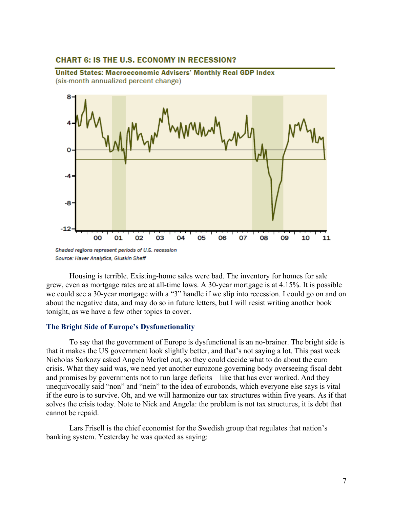# **CHART 6: IS THE U.S. ECONOMY IN RECESSION?**

United States: Macroeconomic Advisers' Monthly Real GDP Index (six-month annualized percent change)



Housing is terrible. Existing-home sales were bad. The inventory for homes for sale grew, even as mortgage rates are at all-time lows. A 30-year mortgage is at 4.15%. It is possible we could see a 30-year mortgage with a "3" handle if we slip into recession. I could go on and on about the negative data, and may do so in future letters, but I will resist writing another book tonight, as we have a few other topics to cover.

## **The Bright Side of Europe's Dysfunctionality**

To say that the government of Europe is dysfunctional is an no-brainer. The bright side is that it makes the US government look slightly better, and that's not saying a lot. This past week Nicholas Sarkozy asked Angela Merkel out, so they could decide what to do about the euro crisis. What they said was, we need yet another eurozone governing body overseeing fiscal debt and promises by governments not to run large deficits – like that has ever worked. And they unequivocally said "non" and "nein" to the idea of eurobonds, which everyone else says is vital if the euro is to survive. Oh, and we will harmonize our tax structures within five years. As if that solves the crisis today. Note to Nick and Angela: the problem is not tax structures, it is debt that cannot be repaid.

Lars Frisell is the chief economist for the Swedish group that regulates that nation's banking system. Yesterday he was quoted as saying: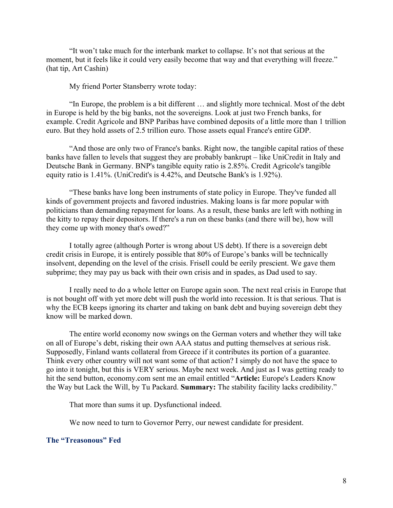"It won't take much for the interbank market to collapse. It's not that serious at the moment, but it feels like it could very easily become that way and that everything will freeze." (hat tip, Art Cashin)

My friend Porter Stansberry wrote today:

"In Europe, the problem is a bit different … and slightly more technical. Most of the debt in Europe is held by the big banks, not the sovereigns. Look at just two French banks, for example. Credit Agricole and BNP Paribas have combined deposits of a little more than 1 trillion euro. But they hold assets of 2.5 trillion euro. Those assets equal France's entire GDP.

"And those are only two of France's banks. Right now, the tangible capital ratios of these banks have fallen to levels that suggest they are probably bankrupt – like UniCredit in Italy and Deutsche Bank in Germany. BNP's tangible equity ratio is 2.85%. Credit Agricole's tangible equity ratio is 1.41%. (UniCredit's is 4.42%, and Deutsche Bank's is 1.92%).

"These banks have long been instruments of state policy in Europe. They've funded all kinds of government projects and favored industries. Making loans is far more popular with politicians than demanding repayment for loans. As a result, these banks are left with nothing in the kitty to repay their depositors. If there's a run on these banks (and there will be), how will they come up with money that's owed?"

I totally agree (although Porter is wrong about US debt). If there is a sovereign debt credit crisis in Europe, it is entirely possible that 80% of Europe's banks will be technically insolvent, depending on the level of the crisis. Frisell could be eerily prescient. We gave them subprime; they may pay us back with their own crisis and in spades, as Dad used to say.

I really need to do a whole letter on Europe again soon. The next real crisis in Europe that is not bought off with yet more debt will push the world into recession. It is that serious. That is why the ECB keeps ignoring its charter and taking on bank debt and buying sovereign debt they know will be marked down.

The entire world economy now swings on the German voters and whether they will take on all of Europe's debt, risking their own AAA status and putting themselves at serious risk. Supposedly, Finland wants collateral from Greece if it contributes its portion of a guarantee. Think every other country will not want some of that action? I simply do not have the space to go into it tonight, but this is VERY serious. Maybe next week. And just as I was getting ready to hit the send button, economy.com sent me an email entitled "**Article:** Europe's Leaders Know the Way but Lack the Will, by Tu Packard. **Summary:** The stability facility lacks credibility."

That more than sums it up. Dysfunctional indeed.

We now need to turn to Governor Perry, our newest candidate for president.

## **The "Treasonous" Fed**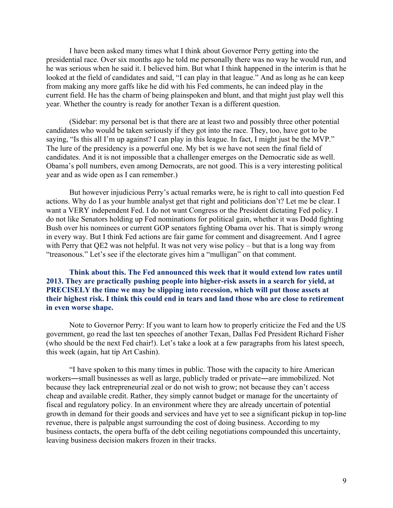I have been asked many times what I think about Governor Perry getting into the presidential race. Over six months ago he told me personally there was no way he would run, and he was serious when he said it. I believed him. But what I think happened in the interim is that he looked at the field of candidates and said, "I can play in that league." And as long as he can keep from making any more gaffs like he did with his Fed comments, he can indeed play in the current field. He has the charm of being plainspoken and blunt, and that might just play well this year. Whether the country is ready for another Texan is a different question.

(Sidebar: my personal bet is that there are at least two and possibly three other potential candidates who would be taken seriously if they got into the race. They, too, have got to be saying, "Is this all I'm up against? I can play in this league. In fact, I might just be the MVP." The lure of the presidency is a powerful one. My bet is we have not seen the final field of candidates. And it is not impossible that a challenger emerges on the Democratic side as well. Obama's poll numbers, even among Democrats, are not good. This is a very interesting political year and as wide open as I can remember.)

But however injudicious Perry's actual remarks were, he is right to call into question Fed actions. Why do I as your humble analyst get that right and politicians don't? Let me be clear. I want a VERY independent Fed. I do not want Congress or the President dictating Fed policy. I do not like Senators holding up Fed nominations for political gain, whether it was Dodd fighting Bush over his nominees or current GOP senators fighting Obama over his. That is simply wrong in every way. But I think Fed actions are fair game for comment and disagreement. And I agree with Perry that QE2 was not helpful. It was not very wise policy – but that is a long way from "treasonous." Let's see if the electorate gives him a "mulligan" on that comment.

**Think about this. The Fed announced this week that it would extend low rates until 2013. They are practically pushing people into higher-risk assets in a search for yield, at PRECISELY the time we may be slipping into recession, which will put those assets at their highest risk. I think this could end in tears and land those who are close to retirement in even worse shape.** 

Note to Governor Perry: If you want to learn how to properly criticize the Fed and the US government, go read the last ten speeches of another Texan, Dallas Fed President Richard Fisher (who should be the next Fed chair!). Let's take a look at a few paragraphs from his latest speech, this week (again, hat tip Art Cashin).

"I have spoken to this many times in public. Those with the capacity to hire American workers―small businesses as well as large, publicly traded or private―are immobilized. Not because they lack entrepreneurial zeal or do not wish to grow; not because they can't access cheap and available credit. Rather, they simply cannot budget or manage for the uncertainty of fiscal and regulatory policy. In an environment where they are already uncertain of potential growth in demand for their goods and services and have yet to see a significant pickup in top-line revenue, there is palpable angst surrounding the cost of doing business. According to my business contacts, the opera buffa of the debt ceiling negotiations compounded this uncertainty, leaving business decision makers frozen in their tracks.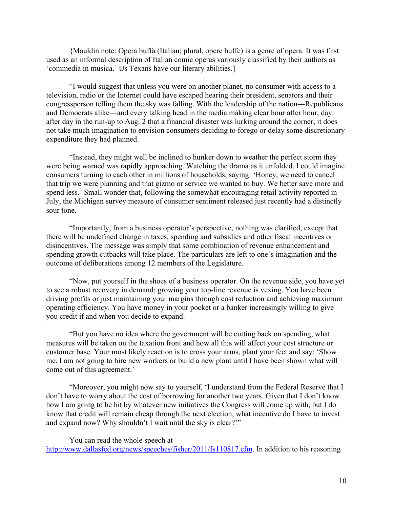{Mauldin note: Opera buffa (Italian; plural, opere buffe) is a genre of opera. It was first used as an informal description of Italian comic operas variously classified by their authors as 'commedia in musica.' Us Texans have our literary abilities.}

"I would suggest that unless you were on another planet, no consumer with access to a television, radio or the Internet could have escaped hearing their president, senators and their congressperson telling them the sky was falling. With the leadership of the nation―Republicans and Democrats alike―and every talking head in the media making clear hour after hour, day after day in the run-up to Aug. 2 that a financial disaster was lurking around the corner, it does not take much imagination to envision consumers deciding to forego or delay some discretionary expenditure they had planned.

"Instead, they might well be inclined to hunker down to weather the perfect storm they were being warned was rapidly approaching. Watching the drama as it unfolded, I could imagine consumers turning to each other in millions of households, saying: 'Honey, we need to cancel that trip we were planning and that gizmo or service we wanted to buy. We better save more and spend less.' Small wonder that, following the somewhat encouraging retail activity reported in July, the Michigan survey measure of consumer sentiment released just recently had a distinctly sour tone.

"Importantly, from a business operator's perspective, nothing was clarified, except that there will be undefined change in taxes, spending and subsidies and other fiscal incentives or disincentives. The message was simply that some combination of revenue enhancement and spending growth cutbacks will take place. The particulars are left to one's imagination and the outcome of deliberations among 12 members of the Legislature.

"Now, put yourself in the shoes of a business operator. On the revenue side, you have yet to see a robust recovery in demand; growing your top-line revenue is vexing. You have been driving profits or just maintaining your margins through cost reduction and achieving maximum operating efficiency. You have money in your pocket or a banker increasingly willing to give you credit if and when you decide to expand.

"But you have no idea where the government will be cutting back on spending, what measures will be taken on the taxation front and how all this will affect your cost structure or customer base. Your most likely reaction is to cross your arms, plant your feet and say: 'Show me. I am not going to hire new workers or build a new plant until I have been shown what will come out of this agreement.'

"Moreover, you might now say to yourself, 'I understand from the Federal Reserve that I don't have to worry about the cost of borrowing for another two years. Given that I don't know how I am going to be hit by whatever new initiatives the Congress will come up with, but I do know that credit will remain cheap through the next election, what incentive do I have to invest and expand now? Why shouldn't I wait until the sky is clear?'"

You can read the whole speech at http://www.dallasfed.org/news/speeches/fisher/2011/fs110817.cfm. In addition to his reasoning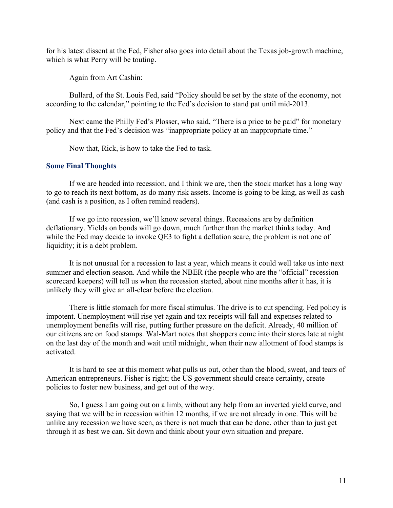for his latest dissent at the Fed, Fisher also goes into detail about the Texas job-growth machine, which is what Perry will be touting.

Again from Art Cashin:

Bullard, of the St. Louis Fed, said "Policy should be set by the state of the economy, not according to the calendar," pointing to the Fed's decision to stand pat until mid-2013.

Next came the Philly Fed's Plosser, who said, "There is a price to be paid" for monetary policy and that the Fed's decision was "inappropriate policy at an inappropriate time."

Now that, Rick, is how to take the Fed to task.

## **Some Final Thoughts**

If we are headed into recession, and I think we are, then the stock market has a long way to go to reach its next bottom, as do many risk assets. Income is going to be king, as well as cash (and cash is a position, as I often remind readers).

If we go into recession, we'll know several things. Recessions are by definition deflationary. Yields on bonds will go down, much further than the market thinks today. And while the Fed may decide to invoke OE3 to fight a deflation scare, the problem is not one of liquidity; it is a debt problem.

It is not unusual for a recession to last a year, which means it could well take us into next summer and election season. And while the NBER (the people who are the "official" recession scorecard keepers) will tell us when the recession started, about nine months after it has, it is unlikely they will give an all-clear before the election.

There is little stomach for more fiscal stimulus. The drive is to cut spending. Fed policy is impotent. Unemployment will rise yet again and tax receipts will fall and expenses related to unemployment benefits will rise, putting further pressure on the deficit. Already, 40 million of our citizens are on food stamps. Wal-Mart notes that shoppers come into their stores late at night on the last day of the month and wait until midnight, when their new allotment of food stamps is activated.

It is hard to see at this moment what pulls us out, other than the blood, sweat, and tears of American entrepreneurs. Fisher is right; the US government should create certainty, create policies to foster new business, and get out of the way.

So, I guess I am going out on a limb, without any help from an inverted yield curve, and saying that we will be in recession within 12 months, if we are not already in one. This will be unlike any recession we have seen, as there is not much that can be done, other than to just get through it as best we can. Sit down and think about your own situation and prepare.